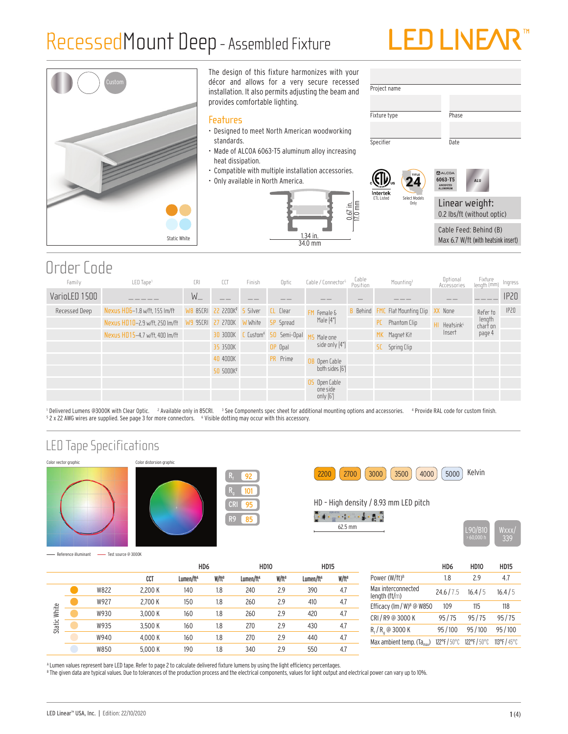### RecessedMount Deep- Assembled Fixture

# **LED LIVE/**



The design of this fixture harmonizes with your décor and allows for a very secure recessed installation. It also permits adjusting the beam and provides comfortable lighting.

#### Features

- Designed to meet North American woodworking standards.
- Made of ALCOA 6063-T5 aluminum alloy increasing heat dissipation.
- Compatible with multiple installation accessories.
- Only available in North America.







24 TITLE

ETL Listed Select Models Only



Linear weight: 0.2 lbs/ft (without optic) Cable Feed: Behind (B) Max 6.7 W/ft (with heatsink insert)

Order Code

| Family        | LED Tape <sup>1</sup>          | CRI     | CCT                                     | Finish | Optic            | Cable / Connector <sup>5</sup> | Cable<br>Position | Mounting <sup>3</sup>                          | Optional<br>Accessories | Fixture<br>Iength (mm) | Ingress |
|---------------|--------------------------------|---------|-----------------------------------------|--------|------------------|--------------------------------|-------------------|------------------------------------------------|-------------------------|------------------------|---------|
| VarioLED 1500 |                                | $W_{-}$ |                                         |        |                  |                                |                   |                                                |                         |                        | IP20    |
| Recessed Deep | Nexus HD6-1.8 w/ft, 155 lm/ft  |         | WB 85CRI 22 2200K <sup>2</sup> 5 Silver |        | <b>CL</b> Clear  | Female &                       |                   | <b>B</b> Behind FMC Flat Mounting Clip XX None |                         | Refer to               | IP20    |
|               | Nexus HD10-2.9 w/ft, 250 lm/ft |         | W9 95CRI 27 2700K WWhite                |        | <b>SP</b> Spread | Male $[4"]$                    |                   | Phantom Clip<br><b>PC</b>                      | Heatsink <sup>6</sup>   | length<br>chart on     |         |
|               | Nexus HD15-4.7 w/ft, 400 lm/ft |         | <b>30 3000K C Custom<sup>4</sup> 50</b> |        | Semi-Opal        | Male one                       |                   | MK Magnet Kit                                  | Insert                  | page 4                 |         |
|               |                                |         | 35 3500K                                |        | OP Opal          | side only [4"]                 |                   | <b>Spring Clip</b><br><b>SC</b>                |                         |                        |         |
|               |                                |         | 40 4000K                                |        | PR Prime         | OB Open Cable                  |                   |                                                |                         |                        |         |
|               |                                |         | 50 5000K <sup>2</sup>                   |        |                  | both sides [6']                |                   |                                                |                         |                        |         |
|               |                                |         |                                         |        |                  | OS Open Cable                  |                   |                                                |                         |                        |         |
|               |                                |         |                                         |        |                  | one side<br>only $[6']$        |                   |                                                |                         |                        |         |

<sup>1</sup> Delivered Lumens @3000K with Clear Optic. <sup>2</sup> Available only in 85CRI. <sup>3</sup> See Components spec sheet for additional mounting options and accessories. <sup>4</sup> Provide RAL code for custom finish.<br><sup>5</sup> 2 × 22 AMG w 2 x 22 AWG wires are supplied. See page 3 for more connectors. 6 Visible dotting may occur with this accessory.

> 95 85

92 101

#### LED Tape Specifications



Reference illuminant Test source @ 3000K



2200 (2700 3000 ) (3500 ) (4000 ) (5000 ) Kelvin

HD – High density / 8.93 mm LED pitch

 $\begin{array}{cccccccccc} \left(\begin{array}{cc} 0 & 0 & 0 & 0 & 0 \\ 0 & 0 & 0 & 0 & 0 \\ 0 & 0 & 0 & 0 & 0 \\ 0 & 0 & 0 & 0 & 0 \\ 0 & 0 & 0 & 0 & 0 \\ 0 & 0 & 0 & 0 & 0 \\ 0 & 0 & 0 & 0 & 0 \\ 0 & 0 & 0 & 0 & 0 \\ 0 & 0 & 0 & 0 & 0 \\ 0 & 0 & 0 & 0 & 0 \\ 0 & 0 & 0 & 0 & 0 \\ 0 & 0 & 0 & 0 & 0 \\ 0 & 0 & 0 & 0 & 0 \\ 0 & 0 &$ 



HD6 HD10 HD15 CCT Lumen/ftA W/ftB Lumen/ftA W/ftB Lumen/ftA W/ftB W822 2,200 K 140 1.8 240 2.9 390 4.7 W927 2,700 K 150 1.8 260 2.9 410 4.7 Static White Static White W930 3,000 K 160 1.8 260 2.9 420 4.7 W935 3,500 K 160 1.8 270 2.9 430 4.7 W940 4,000 K 160 1.8 270 2.9 440 4.7 W850 5,000 K 190 1.8 340 2.9 550 4.7

|                                       | HD <sub>6</sub> | <b>HD10</b> | <b>HD15</b>  |
|---------------------------------------|-----------------|-------------|--------------|
| Power (W/ft) <sup>B</sup>             | 18              | 29          | 47           |
| Max interconnected<br>length $(ft/m)$ | 24.6/7.5        | 16.4/5      | 16.4/5       |
| Efficacy (Im / W) <sup>B</sup> @ W850 | 109             | 115         | 118          |
| CRI / R9 @ 3000 K                     | 95/75           | 95/75       | 95/75        |
| $R_f/R_q \circledcirc 3000 K$         | 95/100          | 95/100      | 95/100       |
| Max ambient temp. $(Ta_{max})$        | 122°F/50°C      | 122°F/50°C  | 113°F / 45°C |
|                                       |                 |             |              |

A Lumen values represent bare LED tape. Refer to page 2 to calculate delivered fixture lumens by using the light efficiency percentages.

 $^{\circ}$  The given data are typical values. Due to tolerances of the production process and the electrical components, values for light output and electrical power can vary up to 10%.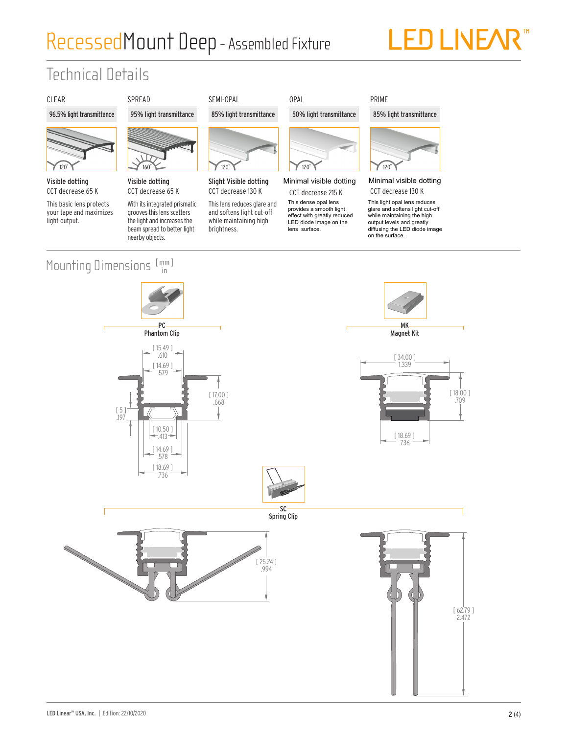## RecessedMount Deep- Assembled Fixture

# LED LIVEAR<sup>®</sup>

### Technical Details

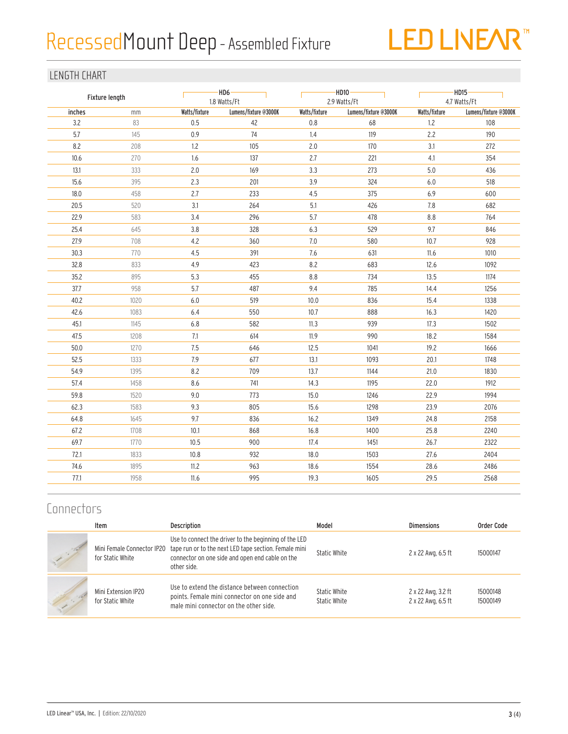# Recessed Mount Deep - Assembled Fixture



#### LENGTH CHART

| Fixture length |      |               | $-HD6-$<br>1.8 Watts/Ft |               | -HD10-<br>2.9 Watts/Ft | $-HD15-$<br>4.7 Watts/Ft |                       |  |
|----------------|------|---------------|-------------------------|---------------|------------------------|--------------------------|-----------------------|--|
| inches         | mm   | Watts/fixture | Lumens/fixture @3000K   | Watts/fixture | Lumens/fixture @3000K  | Watts/fixture            | Lumens/fixture @3000K |  |
| 3.2            | 83   | 0.5           | 42                      | 0.8           | 68                     | 1.2                      | 108                   |  |
| 5.7            | 145  | 0.9           | 74                      | 1.4           | 119                    | 2.2                      | 190                   |  |
| 8.2            | 208  | $1.2\,$       | 105                     | 2.0           | 170                    | 3.1                      | 272                   |  |
| 10.6           | 270  | 1.6           | 137                     | 2.7           | 221                    | 4.1                      | 354                   |  |
| 13.1           | 333  | 2.0           | 169                     | 3.3           | 273                    | $5.0\,$                  | 436                   |  |
| 15.6           | 395  | 2.3           | 201                     | 3.9           | 324                    | 6.0                      | 518                   |  |
| 18.0           | 458  | 2.7           | 233                     | 4.5           | 375                    | 6.9                      | 600                   |  |
| 20.5           | 520  | 3.1           | 264                     | 5.1           | 426                    | 7.8                      | 682                   |  |
| 22.9           | 583  | 3.4           | 296                     | 5.7           | 478                    | 8.8                      | 764                   |  |
| 25.4           | 645  | 3.8           | 328                     | 6.3           | 529                    | 9.7                      | 846                   |  |
| 27.9           | 708  | 4.2           | 360                     | 7.0           | 580                    | 10.7                     | 928                   |  |
| 30.3           | 770  | 4.5           | 391                     | 7.6           | 631                    | 11.6                     | 1010                  |  |
| 32.8           | 833  | 4.9           | 423                     | 8.2           | 683                    | 12.6                     | 1092                  |  |
| 35.2           | 895  | 5.3           | 455                     | 8.8           | 734                    | 13.5                     | 1174                  |  |
| 37.7           | 958  | 5.7           | 487                     | 9.4           | 785                    | 14.4                     | 1256                  |  |
| 40.2           | 1020 | $6.0\,$       | 519                     | 10.0          | 836                    | 15.4                     | 1338                  |  |
| 42.6           | 1083 | 6.4           | 550                     | 10.7          | 888                    | 16.3                     | 1420                  |  |
| 45.1           | 1145 | $6.8$         | 582                     | 11.3          | 939                    | 17.3                     | 1502                  |  |
| 47.5           | 1208 | 7.1           | 614                     | 11.9          | 990                    | 18.2                     | 1584                  |  |
| 50.0           | 1270 | 7.5           | 646                     | 12.5          | 1041                   | 19.2                     | 1666                  |  |
| 52.5           | 1333 | 7.9           | 677                     | 13.1          | 1093                   | 20.1                     | 1748                  |  |
| 54.9           | 1395 | 8.2           | 709                     | 13.7          | 1144                   | 21.0                     | 1830                  |  |
| 57.4           | 1458 | 8.6           | 741                     | 14.3          | 1195                   | 22.0                     | 1912                  |  |
| 59.8           | 1520 | 9.0           | 773                     | 15.0          | 1246                   | 22.9                     | 1994                  |  |
| 62.3           | 1583 | 9.3           | 805                     | 15.6          | 1298                   | 23.9                     | 2076                  |  |
| 64.8           | 1645 | 9.7           | 836                     | 16.2          | 1349                   | 24.8                     | 2158                  |  |
| 67.2           | 1708 | 10.1          | 868                     | 16.8          | 1400                   | 25.8                     | 2240                  |  |
| 69.7           | 1770 | 10.5          | 900                     | 17.4          | 1451                   | 26.7                     | 2322                  |  |
| 72.1           | 1833 | 10.8          | 932                     | 18.0          | 1503                   | 27.6                     | 2404                  |  |
| 74.6           | 1895 | 11.2          | 963                     | 18.6          | 1554                   | 28.6                     | 2486                  |  |
| 77.1           | 1958 | 11.6          | 995                     | 19.3          | 1605                   | 29.5                     | 2568                  |  |

#### **Connectors**

|        | Item                                    | <b>Description</b>                                                                                                                                                                                          | Model                        | <b>Dimensions</b>                        | Order Code           |
|--------|-----------------------------------------|-------------------------------------------------------------------------------------------------------------------------------------------------------------------------------------------------------------|------------------------------|------------------------------------------|----------------------|
|        | for Static White                        | Use to connect the driver to the beginning of the LED<br>Mini Female Connector IP20 tape run or to the next LED tape section. Female mini<br>connector on one side and open end cable on the<br>other side. | Static White                 | 2 x 22 Awg, 6.5 ft                       | 15000147             |
| $\sim$ | Mini Extension IP20<br>for Static White | Use to extend the distance between connection<br>points. Female mini connector on one side and<br>male mini connector on the other side.                                                                    | Static White<br>Static White | 2 x 22 Awg, 3.2 ft<br>2 x 22 Awg, 6.5 ft | 15000148<br>15000149 |